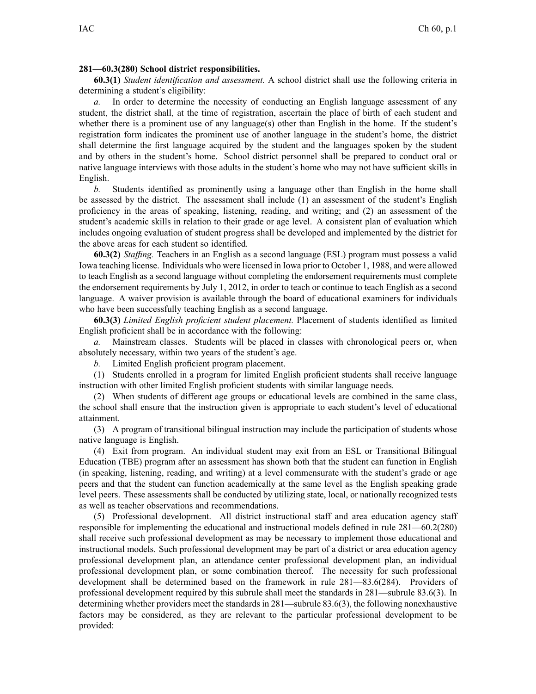## **281—60.3(280) School district responsibilities.**

**60.3(1)** *Student identification and assessment.* A school district shall use the following criteria in determining <sup>a</sup> student's eligibility:

*a.* In order to determine the necessity of conducting an English language assessment of any student, the district shall, at the time of registration, ascertain the place of birth of each student and whether there is a prominent use of any language(s) other than English in the home. If the student's registration form indicates the prominent use of another language in the student's home, the district shall determine the first language acquired by the student and the languages spoken by the student and by others in the student's home. School district personnel shall be prepared to conduct oral or native language interviews with those adults in the student's home who may not have sufficient skills in English.

*b.* Students identified as prominently using <sup>a</sup> language other than English in the home shall be assessed by the district. The assessment shall include (1) an assessment of the student's English proficiency in the areas of speaking, listening, reading, and writing; and (2) an assessment of the student's academic skills in relation to their grade or age level. A consistent plan of evaluation which includes ongoing evaluation of student progress shall be developed and implemented by the district for the above areas for each student so identified.

**60.3(2)** *Staffing.* Teachers in an English as <sup>a</sup> second language (ESL) program must possess <sup>a</sup> valid Iowa teaching license. Individuals who were licensed in Iowa prior to October 1, 1988, and were allowed to teach English as <sup>a</sup> second language without completing the endorsement requirements must complete the endorsement requirements by July 1, 2012, in order to teach or continue to teach English as <sup>a</sup> second language. A waiver provision is available through the board of educational examiners for individuals who have been successfully teaching English as <sup>a</sup> second language.

**60.3(3)** *Limited English proficient student placement.* Placement of students identified as limited English proficient shall be in accordance with the following:

*a.* Mainstream classes. Students will be placed in classes with chronological peers or, when absolutely necessary, within two years of the student's age.

*b.* Limited English proficient program placement.

(1) Students enrolled in <sup>a</sup> program for limited English proficient students shall receive language instruction with other limited English proficient students with similar language needs.

(2) When students of different age groups or educational levels are combined in the same class, the school shall ensure that the instruction given is appropriate to each student's level of educational attainment.

(3) A program of transitional bilingual instruction may include the participation of students whose native language is English.

(4) Exit from program. An individual student may exit from an ESL or Transitional Bilingual Education (TBE) program after an assessment has shown both that the student can function in English (in speaking, listening, reading, and writing) at <sup>a</sup> level commensurate with the student's grade or age peers and that the student can function academically at the same level as the English speaking grade level peers. These assessments shall be conducted by utilizing state, local, or nationally recognized tests as well as teacher observations and recommendations.

(5) Professional development. All district instructional staff and area education agency staff responsible for implementing the educational and instructional models defined in rule [281—60.2](https://www.legis.iowa.gov/docs/iac/rule/281.60.2.pdf)(280) shall receive such professional development as may be necessary to implement those educational and instructional models. Such professional development may be par<sup>t</sup> of <sup>a</sup> district or area education agency professional development plan, an attendance center professional development plan, an individual professional development plan, or some combination thereof. The necessity for such professional development shall be determined based on the framework in rule [281—83.6](https://www.legis.iowa.gov/docs/iac/rule/281.83.6.pdf)(284). Providers of professional development required by this subrule shall meet the standards in [281—subrule](https://www.legis.iowa.gov/docs/iac/rule/281.83.6.pdf) 83.6(3). In determining whether providers meet the standards in [281—subrule](https://www.legis.iowa.gov/docs/iac/rule/281.83.6.pdf) 83.6(3), the following nonexhaustive factors may be considered, as they are relevant to the particular professional development to be provided: